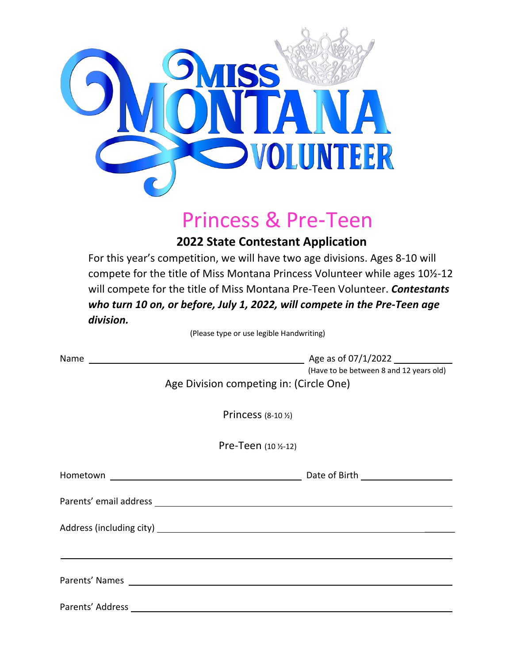

## Princess & Pre-Teen

**2022 State Contestant Application** 

For this year's competition, we will have two age divisions. Ages 8-10 will compete for the title of Miss Montana Princess Volunteer while ages 10½-12 will compete for the title of Miss Montana Pre-Teen Volunteer. *Contestants who turn 10 on, or before, July 1, 2022, will compete in the Pre-Teen age division.*

(Please type or use legible Handwriting)

|                      | (Have to be between 8 and 12 years old) |
|----------------------|-----------------------------------------|
|                      | Age Division competing in: (Circle One) |
|                      | <b>Princess</b> (8-10 %)                |
| Pre-Teen (10 1/2-12) |                                         |
|                      |                                         |
|                      |                                         |
|                      |                                         |
|                      |                                         |
|                      |                                         |
|                      |                                         |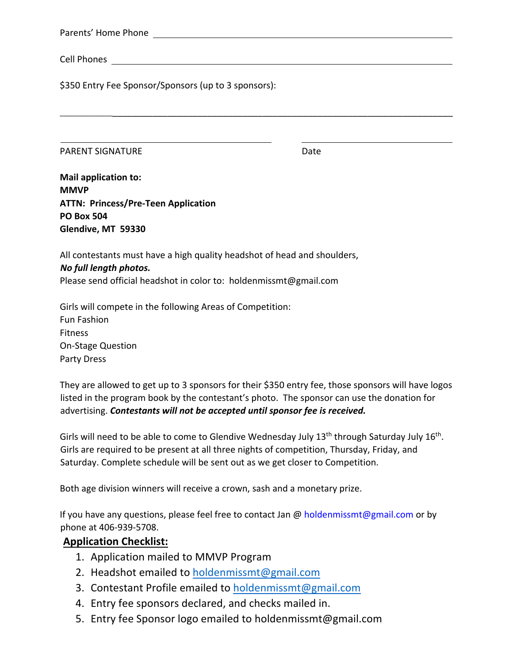Parents' Home Phone Cell Phones \$350 Entry Fee Sponsor/Sponsors (up to 3 sponsors): \_\_\_\_\_\_\_\_\_\_\_\_\_\_\_\_\_\_\_\_\_\_\_\_\_\_\_\_\_\_\_\_\_\_\_\_\_\_\_\_\_\_\_\_\_\_\_\_\_\_\_\_\_\_\_\_\_\_\_\_\_\_\_\_\_\_\_\_\_\_\_\_\_\_\_\_\_\_\_\_\_\_ PARENT SIGNATURE **Date** Date **Mail application to: MMVP ATTN: Princess/Pre-Teen Application PO Box 504 Glendive, MT 59330**  All contestants must have a high quality headshot of head and shoulders,

## *No full length photos.*

Please send official headshot in color to: holdenmissmt@gmail.com

Girls will compete in the following Areas of Competition: Fun Fashion Fitness On-Stage Question Party Dress

They are allowed to get up to 3 sponsors for their \$350 entry fee, those sponsors will have logos listed in the program book by the contestant's photo. The sponsor can use the donation for advertising. *Contestants will not be accepted until sponsor fee is received.* 

Girls will need to be able to come to Glendive Wednesday July 13<sup>th</sup> through Saturday July 16<sup>th</sup>. Girls are required to be present at all three nights of competition, Thursday, Friday, and Saturday. Complete schedule will be sent out as we get closer to Competition.

Both age division winners will receive a crown, sash and a monetary prize.

If you have any questions, please feel free to contact Jan @ holdenmissmt@gmail.com or by phone at 406-939-5708.

## **Application Checklist:**

- 1. Application mailed to MMVP Program
- 2. Headshot emailed to holdenmissmt@gmail.com
- 3. Contestant Profile emailed to holdenmissmt@gmail.com
- 4. Entry fee sponsors declared, and checks mailed in.
- 5. Entry fee Sponsor logo emailed to holdenmissmt@gmail.com